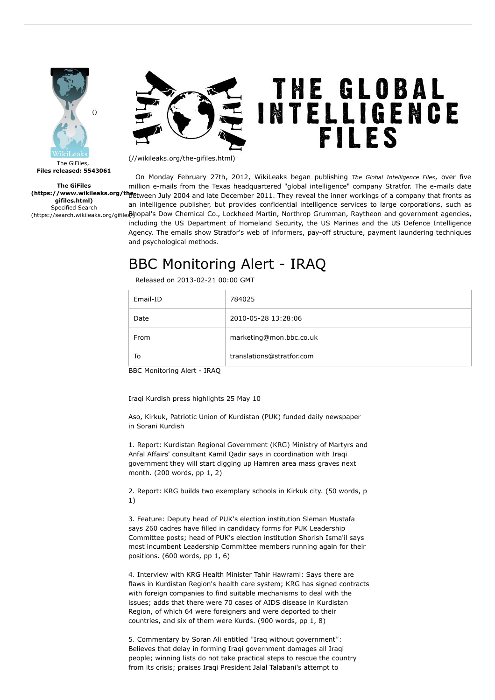

## THE GLOBAL<br>INTELLIGENCE **FILES**

The GiFiles gifiles.html) Specified Search

[\(//wikileaks.org/the-gifiles.html\)](https://wikileaks.org/the-gifiles.html)

(https://www.wikileaks.org/the-tween July 2004 and late December 2011. They reveal the inner workings of a company that fronts as (https://search.wikileaks.org/gifile**\$)**hopal's Dow Chemical Co., Lockheed Martin, Northrop Grumman, Raytheon and government agencies, On Monday February 27th, 2012, WikiLeaks began publishing The Global Intelligence Files, over five million e-mails from the Texas headquartered "global intelligence" company Stratfor. The e-mails date an intelligence publisher, but provides confidential intelligence services to large corporations, such as including the US Department of Homeland Security, the US Marines and the US Defence Intelligence Agency. The emails show Stratfor's web of informers, pay-off structure, payment laundering techniques and psychological methods.

## BBC Monitoring Alert - IRAQ

Released on 2013-02-21 00:00 GMT

| Email-ID | 784025                    |
|----------|---------------------------|
| Date     | 2010-05-28 13:28:06       |
| From     | marketing@mon.bbc.co.uk   |
| To       | translations@stratfor.com |

BBC Monitoring Alert - IRAQ

Iraqi Kurdish press highlights 25 May 10

Aso, Kirkuk, Patriotic Union of Kurdistan (PUK) funded daily newspaper in Sorani Kurdish

1. Report: Kurdistan Regional Government (KRG) Ministry of Martyrs and Anfal Affairs' consultant Kamil Qadir says in coordination with Iraqi government they will start digging up Hamren area mass graves next month. (200 words, pp 1, 2)

2. Report: KRG builds two exemplary schools in Kirkuk city. (50 words, p 1)

3. Feature: Deputy head of PUK's election institution Sleman Mustafa says 260 cadres have filled in candidacy forms for PUK Leadership Committee posts; head of PUK's election institution Shorish Isma'il says most incumbent Leadership Committee members running again for their positions. (600 words, pp 1, 6)

4. Interview with KRG Health Minister Tahir Hawrami: Says there are flaws in Kurdistan Region's health care system; KRG has signed contracts with foreign companies to find suitable mechanisms to deal with the issues; adds that there were 70 cases of AIDS disease in Kurdistan Region, of which 64 were foreigners and were deported to their countries, and six of them were Kurds. (900 words, pp 1, 8)

5. Commentary by Soran Ali entitled ''Iraq without government'': Believes that delay in forming Iraqi government damages all Iraqi people; winning lists do not take practical steps to rescue the country from its crisis; praises Iraqi President Jalal Talabani's attempt to

The GiFiles, Files released: 5543061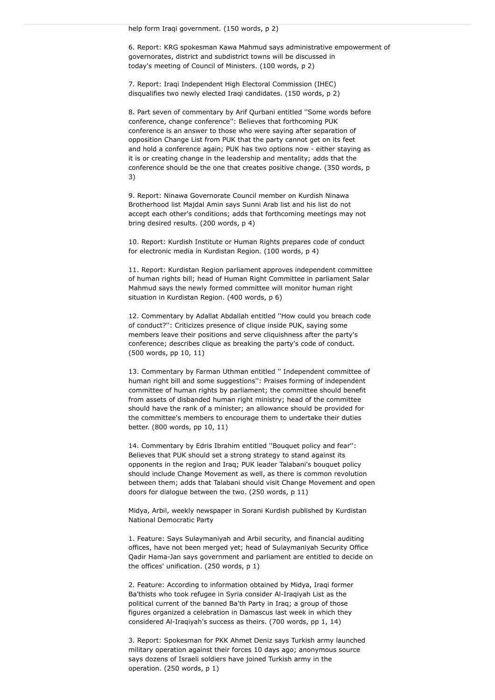6. Report: KRG spokesman Kawa Mahmud says administrative empowerment of governorates, district and subdistrict towns will be discussed in today's meeting of Council of Ministers. (100 words, p 2)

7. Report: Iraqi Independent High Electoral Commission (IHEC) disqualifies two newly elected Iraqi candidates. (150 words, p 2)

8. Part seven of commentary by Arif Qurbani entitled ''Some words before conference, change conference'': Believes that forthcoming PUK conference is an answer to those who were saying after separation of opposition Change List from PUK that the party cannot get on its feet and hold a conference again; PUK has two options now - either staying as it is or creating change in the leadership and mentality; adds that the conference should be the one that creates positive change. (350 words, p 3)

9. Report: Ninawa Governorate Council member on Kurdish Ninawa Brotherhood list Majdal Amin says Sunni Arab list and his list do not accept each other's conditions; adds that forthcoming meetings may not bring desired results. (200 words, p 4)

10. Report: Kurdish Institute or Human Rights prepares code of conduct for electronic media in Kurdistan Region. (100 words, p 4)

11. Report: Kurdistan Region parliament approves independent committee of human rights bill; head of Human Right Committee in parliament Salar Mahmud says the newly formed committee will monitor human right situation in Kurdistan Region. (400 words, p 6)

12. Commentary by Adallat Abdallah entitled ''How could you breach code of conduct?'': Criticizes presence of clique inside PUK, saying some members leave their positions and serve cliquishness after the party's conference; describes clique as breaking the party's code of conduct. (500 words, pp 10, 11)

13. Commentary by Farman Uthman entitled '' Independent committee of human right bill and some suggestions'': Praises forming of independent committee of human rights by parliament; the committee should benefit from assets of disbanded human right ministry; head of the committee should have the rank of a minister; an allowance should be provided for the committee's members to encourage them to undertake their duties better. (800 words, pp 10, 11)

14. Commentary by Edris Ibrahim entitled ''Bouquet policy and fear'': Believes that PUK should set a strong strategy to stand against its opponents in the region and Iraq; PUK leader Talabani's bouquet policy should include Change Movement as well, as there is common revolution between them; adds that Talabani should visit Change Movement and open doors for dialogue between the two. (250 words, p 11)

Midya, Arbil, weekly newspaper in Sorani Kurdish published by Kurdistan National Democratic Party

1. Feature: Says Sulaymaniyah and Arbil security, and financial auditing offices, have not been merged yet; head of Sulaymaniyah Security Office Qadir Hama-Jan says government and parliament are entitled to decide on the offices' unification. (250 words, p 1)

2. Feature: According to information obtained by Midya, Iraqi former Ba'thists who took refugee in Syria consider Al-Iraqiyah List as the political current of the banned Ba'th Party in Iraq; a group of those figures organized a celebration in Damascus last week in which they considered Al-Iraqiyah's success as theirs. (700 words, pp 1, 14)

3. Report: Spokesman for PKK Ahmet Deniz says Turkish army launched military operation against their forces 10 days ago; anonymous source says dozens of Israeli soldiers have joined Turkish army in the operation. (250 words, p 1)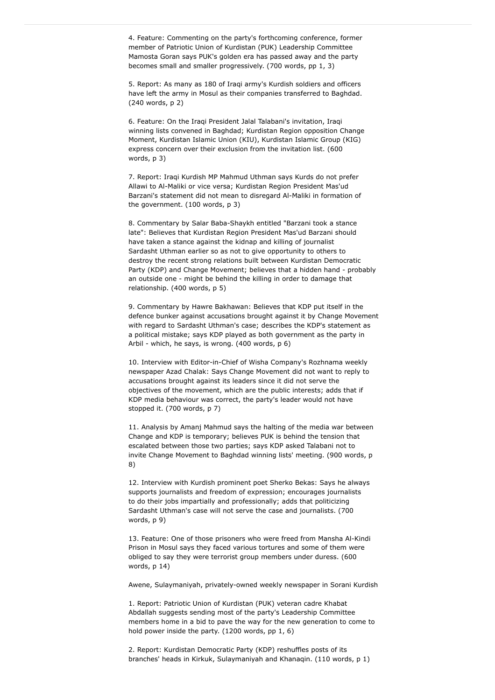4. Feature: Commenting on the party's forthcoming conference, former member of Patriotic Union of Kurdistan (PUK) Leadership Committee Mamosta Goran says PUK's golden era has passed away and the party becomes small and smaller progressively. (700 words, pp 1, 3)

5. Report: As many as 180 of Iraqi army's Kurdish soldiers and officers have left the army in Mosul as their companies transferred to Baghdad. (240 words, p 2)

6. Feature: On the Iraqi President Jalal Talabani's invitation, Iraqi winning lists convened in Baghdad; Kurdistan Region opposition Change Moment, Kurdistan Islamic Union (KIU), Kurdistan Islamic Group (KIG) express concern over their exclusion from the invitation list. (600 words, p 3)

7. Report: Iraqi Kurdish MP Mahmud Uthman says Kurds do not prefer Allawi to Al-Maliki or vice versa; Kurdistan Region President Mas'ud Barzani's statement did not mean to disregard Al-Maliki in formation of the government. (100 words, p 3)

8. Commentary by Salar Baba-Shaykh entitled "Barzani took a stance late": Believes that Kurdistan Region President Mas'ud Barzani should have taken a stance against the kidnap and killing of journalist Sardasht Uthman earlier so as not to give opportunity to others to destroy the recent strong relations built between Kurdistan Democratic Party (KDP) and Change Movement; believes that a hidden hand - probably an outside one - might be behind the killing in order to damage that relationship. (400 words, p 5)

9. Commentary by Hawre Bakhawan: Believes that KDP put itself in the defence bunker against accusations brought against it by Change Movement with regard to Sardasht Uthman's case; describes the KDP's statement as a political mistake; says KDP played as both government as the party in Arbil - which, he says, is wrong. (400 words, p 6)

10. Interview with Editor-in-Chief of Wisha Company's Rozhnama weekly newspaper Azad Chalak: Says Change Movement did not want to reply to accusations brought against its leaders since it did not serve the objectives of the movement, which are the public interests; adds that if KDP media behaviour was correct, the party's leader would not have stopped it. (700 words, p 7)

11. Analysis by Amanj Mahmud says the halting of the media war between Change and KDP is temporary; believes PUK is behind the tension that escalated between those two parties; says KDP asked Talabani not to invite Change Movement to Baghdad winning lists' meeting. (900 words, p 8)

12. Interview with Kurdish prominent poet Sherko Bekas: Says he always supports journalists and freedom of expression; encourages journalists to do their jobs impartially and professionally; adds that politicizing Sardasht Uthman's case will not serve the case and journalists. (700 words, p 9)

13. Feature: One of those prisoners who were freed from Mansha Al-Kindi Prison in Mosul says they faced various tortures and some of them were obliged to say they were terrorist group members under duress. (600 words, p 14)

Awene, Sulaymaniyah, privately-owned weekly newspaper in Sorani Kurdish

1. Report: Patriotic Union of Kurdistan (PUK) veteran cadre Khabat Abdallah suggests sending most of the party's Leadership Committee members home in a bid to pave the way for the new generation to come to hold power inside the party. (1200 words, pp 1, 6)

2. Report: Kurdistan Democratic Party (KDP) reshuffles posts of its branches' heads in Kirkuk, Sulaymaniyah and Khanaqin. (110 words, p 1)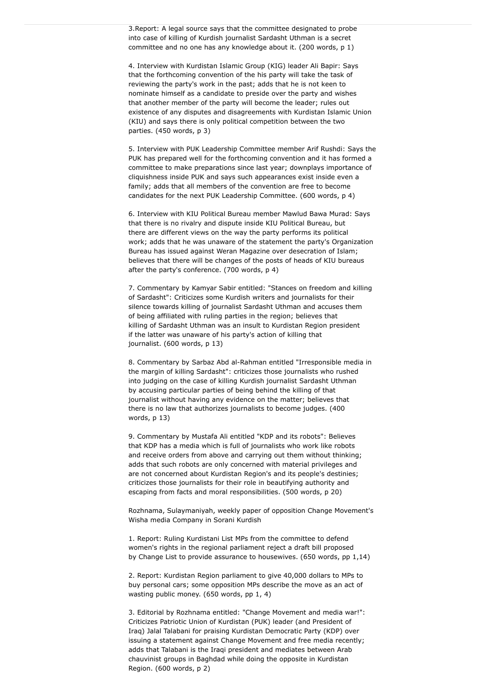3.Report: A legal source says that the committee designated to probe into case of killing of Kurdish journalist Sardasht Uthman is a secret committee and no one has any knowledge about it. (200 words, p 1)

4. Interview with Kurdistan Islamic Group (KIG) leader Ali Bapir: Says that the forthcoming convention of the his party will take the task of reviewing the party's work in the past; adds that he is not keen to nominate himself as a candidate to preside over the party and wishes that another member of the party will become the leader; rules out existence of any disputes and disagreements with Kurdistan Islamic Union (KIU) and says there is only political competition between the two parties. (450 words, p 3)

5. Interview with PUK Leadership Committee member Arif Rushdi: Says the PUK has prepared well for the forthcoming convention and it has formed a committee to make preparations since last year; downplays importance of cliquishness inside PUK and says such appearances exist inside even a family; adds that all members of the convention are free to become candidates for the next PUK Leadership Committee. (600 words, p 4)

6. Interview with KIU Political Bureau member Mawlud Bawa Murad: Says that there is no rivalry and dispute inside KIU Political Bureau, but there are different views on the way the party performs its political work; adds that he was unaware of the statement the party's Organization Bureau has issued against Weran Magazine over desecration of Islam; believes that there will be changes of the posts of heads of KIU bureaus after the party's conference. (700 words, p 4)

7. Commentary by Kamyar Sabir entitled: "Stances on freedom and killing of Sardasht": Criticizes some Kurdish writers and journalists for their silence towards killing of journalist Sardasht Uthman and accuses them of being affiliated with ruling parties in the region; believes that killing of Sardasht Uthman was an insult to Kurdistan Region president if the latter was unaware of his party's action of killing that journalist. (600 words, p 13)

8. Commentary by Sarbaz Abd al-Rahman entitled "Irresponsible media in the margin of killing Sardasht": criticizes those journalists who rushed into judging on the case of killing Kurdish journalist Sardasht Uthman by accusing particular parties of being behind the killing of that journalist without having any evidence on the matter; believes that there is no law that authorizes journalists to become judges. (400 words, p 13)

9. Commentary by Mustafa Ali entitled "KDP and its robots": Believes that KDP has a media which is full of journalists who work like robots and receive orders from above and carrying out them without thinking; adds that such robots are only concerned with material privileges and are not concerned about Kurdistan Region's and its people's destinies; criticizes those journalists for their role in beautifying authority and escaping from facts and moral responsibilities. (500 words, p 20)

Rozhnama, Sulaymaniyah, weekly paper of opposition Change Movement's Wisha media Company in Sorani Kurdish

1. Report: Ruling Kurdistani List MPs from the committee to defend women's rights in the regional parliament reject a draft bill proposed by Change List to provide assurance to housewives. (650 words, pp 1,14)

2. Report: Kurdistan Region parliament to give 40,000 dollars to MPs to buy personal cars; some opposition MPs describe the move as an act of wasting public money. (650 words, pp 1, 4)

3. Editorial by Rozhnama entitled: "Change Movement and media war!": Criticizes Patriotic Union of Kurdistan (PUK) leader (and President of Iraq) Jalal Talabani for praising Kurdistan Democratic Party (KDP) over issuing a statement against Change Movement and free media recently; adds that Talabani is the Iraqi president and mediates between Arab chauvinist groups in Baghdad while doing the opposite in Kurdistan Region. (600 words, p 2)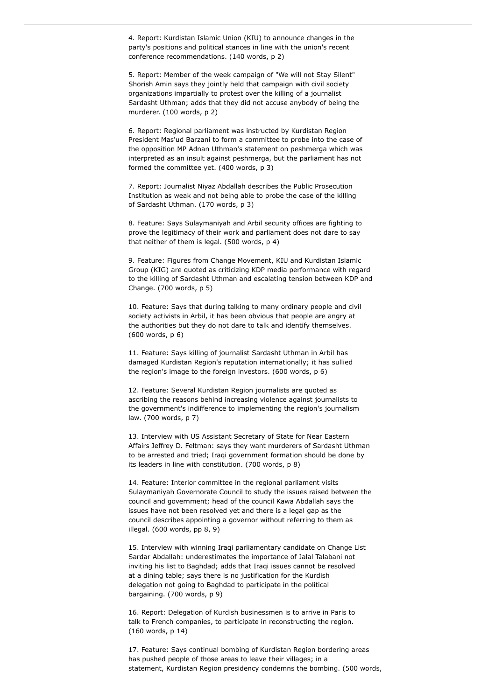4. Report: Kurdistan Islamic Union (KIU) to announce changes in the party's positions and political stances in line with the union's recent conference recommendations. (140 words, p 2)

5. Report: Member of the week campaign of "We will not Stay Silent" Shorish Amin says they jointly held that campaign with civil society organizations impartially to protest over the killing of a journalist Sardasht Uthman; adds that they did not accuse anybody of being the murderer. (100 words, p 2)

6. Report: Regional parliament was instructed by Kurdistan Region President Mas'ud Barzani to form a committee to probe into the case of the opposition MP Adnan Uthman's statement on peshmerga which was interpreted as an insult against peshmerga, but the parliament has not formed the committee yet. (400 words, p 3)

7. Report: Journalist Niyaz Abdallah describes the Public Prosecution Institution as weak and not being able to probe the case of the killing of Sardasht Uthman. (170 words, p 3)

8. Feature: Says Sulaymaniyah and Arbil security offices are fighting to prove the legitimacy of their work and parliament does not dare to say that neither of them is legal. (500 words, p 4)

9. Feature: Figures from Change Movement, KIU and Kurdistan Islamic Group (KIG) are quoted as criticizing KDP media performance with regard to the killing of Sardasht Uthman and escalating tension between KDP and Change. (700 words, p 5)

10. Feature: Says that during talking to many ordinary people and civil society activists in Arbil, it has been obvious that people are angry at the authorities but they do not dare to talk and identify themselves. (600 words, p 6)

11. Feature: Says killing of journalist Sardasht Uthman in Arbil has damaged Kurdistan Region's reputation internationally; it has sullied the region's image to the foreign investors. (600 words, p 6)

12. Feature: Several Kurdistan Region journalists are quoted as ascribing the reasons behind increasing violence against journalists to the government's indifference to implementing the region's journalism law. (700 words, p 7)

13. Interview with US Assistant Secretary of State for Near Eastern Affairs Jeffrey D. Feltman: says they want murderers of Sardasht Uthman to be arrested and tried; Iraqi government formation should be done by its leaders in line with constitution. (700 words, p 8)

14. Feature: Interior committee in the regional parliament visits Sulaymaniyah Governorate Council to study the issues raised between the council and government; head of the council Kawa Abdallah says the issues have not been resolved yet and there is a legal gap as the council describes appointing a governor without referring to them as illegal. (600 words, pp 8, 9)

15. Interview with winning Iraqi parliamentary candidate on Change List Sardar Abdallah: underestimates the importance of Jalal Talabani not inviting his list to Baghdad; adds that Iraqi issues cannot be resolved at a dining table; says there is no justification for the Kurdish delegation not going to Baghdad to participate in the political bargaining. (700 words, p 9)

16. Report: Delegation of Kurdish businessmen is to arrive in Paris to talk to French companies, to participate in reconstructing the region. (160 words, p 14)

17. Feature: Says continual bombing of Kurdistan Region bordering areas has pushed people of those areas to leave their villages; in a statement, Kurdistan Region presidency condemns the bombing. (500 words,